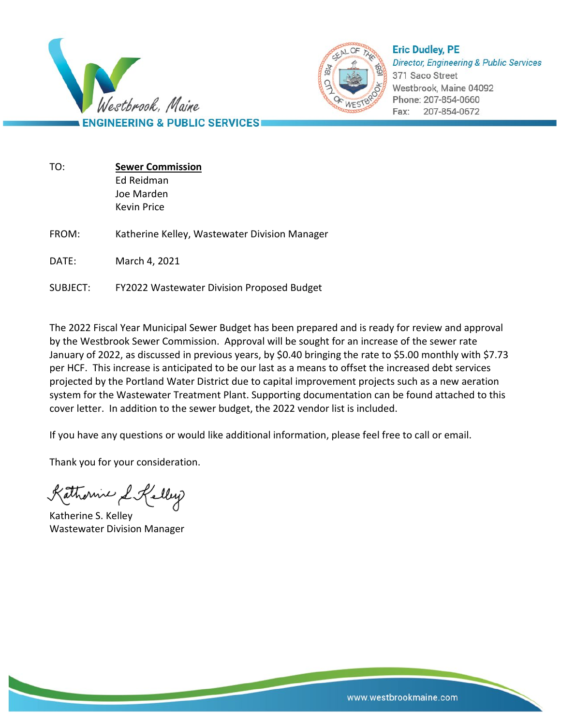



**Eric Dudley, PE Director, Engineering & Public Services** 371 Saco Street Westbrook, Maine 04092 Phone: 207-854-0660 207-854-0672 Fax:

| TO:      | <b>Sewer Commission</b><br>Ed Reidman<br>Joe Marden |
|----------|-----------------------------------------------------|
|          | Kevin Price                                         |
| FROM:    | Katherine Kelley, Wastewater Division Manager       |
| DATE:    | March 4, 2021                                       |
| SUBJECT: | FY2022 Wastewater Division Proposed Budget          |

The 2022 Fiscal Year Municipal Sewer Budget has been prepared and is ready for review and approval by the Westbrook Sewer Commission. Approval will be sought for an increase of the sewer rate January of 2022, as discussed in previous years, by \$0.40 bringing the rate to \$5.00 monthly with \$7.73 per HCF. This increase is anticipated to be our last as a means to offset the increased debt services projected by the Portland Water District due to capital improvement projects such as a new aeration system for the Wastewater Treatment Plant. Supporting documentation can be found attached to this cover letter. In addition to the sewer budget, the 2022 vendor list is included.

If you have any questions or would like additional information, please feel free to call or email.

Thank you for your consideration.

Kathornic L Kelley

Katherine S. Kelley Wastewater Division Manager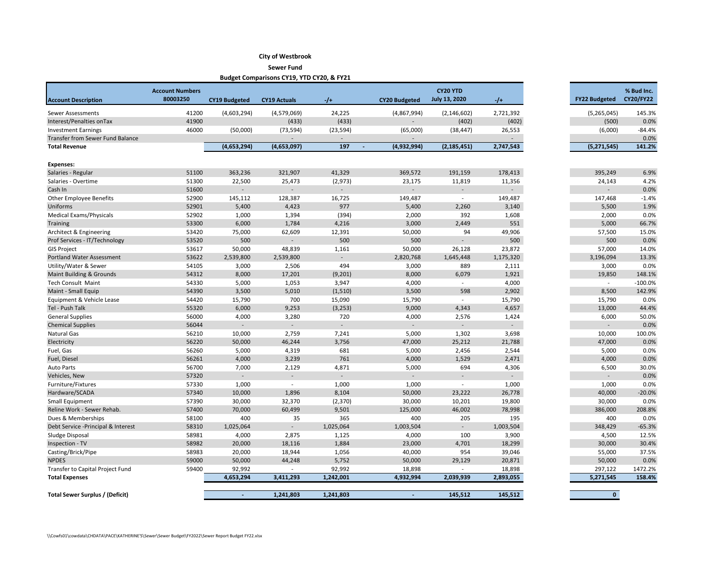## **City of Westbrook**

**Sewer Fund**

**Budget Comparisons CY19, YTD CY20, & FY21**

| <b>Account Description</b>              | <b>Account Numbers</b><br>80003250 | <b>CY19 Budgeted</b> | <b>CY19 Actuals</b>      | $-1$           | <b>CY20 Budgeted</b>     | CY20 YTD<br><b>July 13, 2020</b> | $-1+$                    | <b>FY22 Budgeted</b>     | % Bud Inc.<br><b>CY20/FY22</b> |
|-----------------------------------------|------------------------------------|----------------------|--------------------------|----------------|--------------------------|----------------------------------|--------------------------|--------------------------|--------------------------------|
| Sewer Assessments                       | 41200                              | (4,603,294)          | (4,579,069)              | 24,225         | (4,867,994)              | (2, 146, 602)                    | 2,721,392                | (5,265,045)              | 145.3%                         |
| Interest/Penalties on Tax               | 41900                              |                      | (433)                    | (433)          | $\overline{\phantom{a}}$ | (402)                            | (402)                    | (500)                    | 0.0%                           |
| <b>Investment Earnings</b>              | 46000                              | (50,000)             | (73, 594)                | (23, 594)      | (65,000)                 | (38, 447)                        | 26,553                   | (6,000)                  | $-84.4%$                       |
| <b>Transfer from Sewer Fund Balance</b> |                                    |                      |                          |                |                          |                                  | $\blacksquare$           |                          | 0.0%                           |
| <b>Total Revenue</b>                    |                                    | (4,653,294)          | (4,653,097)              | 197            | (4,932,994)              | (2, 185, 451)                    | 2,747,543                | (5, 271, 545)            | 141.2%                         |
| <b>Expenses:</b>                        |                                    |                      |                          |                |                          |                                  |                          |                          |                                |
| Salaries - Regular                      | 51100                              | 363,236              | 321,907                  | 41,329         | 369,572                  | 191,159                          | 178,413                  | 395,249                  | 6.9%                           |
| Salaries - Overtime                     | 51300                              | 22,500               | 25,473                   | (2, 973)       | 23,175                   | 11,819                           | 11,356                   | 24,143                   | 4.2%                           |
| Cash In                                 | 51600                              |                      |                          |                | $\overline{a}$           |                                  | $\blacksquare$           | $\overline{a}$           | 0.0%                           |
| <b>Other Employee Benefits</b>          | 52900                              | 145,112              | 128,387                  | 16,725         | 149,487                  | $\sim$                           | 149,487                  | 147,468                  | $-1.4%$                        |
| Uniforms                                | 52901                              | 5,400                | 4,423                    | 977            | 5,400                    | 2,260                            | 3,140                    | 5,500                    | 1.9%                           |
| <b>Medical Exams/Physicals</b>          | 52902                              | 1,000                | 1,394                    | (394)          | 2,000                    | 392                              | 1,608                    | 2,000                    | 0.0%                           |
| Training                                | 53300                              | 6,000                | 1,784                    | 4,216          | 3,000                    | 2,449                            | 551                      | 5,000                    | 66.7%                          |
| Architect & Engineering                 | 53420                              | 75,000               | 62,609                   | 12,391         | 50,000                   | 94                               | 49,906                   | 57,500                   | 15.0%                          |
| Prof Services - IT/Technology           | 53520                              | 500                  |                          | 500            | 500                      | L.                               | 500                      | 500                      | 0.0%                           |
| <b>GIS Project</b>                      | 53617                              | 50,000               | 48,839                   | 1,161          | 50,000                   | 26,128                           | 23,872                   | 57,000                   | 14.0%                          |
| Portland Water Assessment               | 53622                              | 2,539,800            | 2,539,800                | $\overline{a}$ | 2,820,768                | 1,645,448                        | 1,175,320                | 3,196,094                | 13.3%                          |
| Utility/Water & Sewer                   | 54105                              | 3,000                | 2,506                    | 494            | 3,000                    | 889                              | 2,111                    | 3,000                    | 0.0%                           |
| Maint Building & Grounds                | 54312                              | 8,000                | 17,201                   | (9, 201)       | 8,000                    | 6,079                            | 1,921                    | 19,850                   | 148.1%                         |
| <b>Tech Consult Maint</b>               | 54330                              | 5,000                | 1,053                    | 3,947          | 4,000                    | $\overline{\phantom{a}}$         | 4,000                    | $\blacksquare$           | $-100.0%$                      |
| Maint - Small Equip                     | 54390                              | 3,500                | 5,010                    | (1, 510)       | 3,500                    | 598                              | 2,902                    | 8,500                    | 142.9%                         |
| Equipment & Vehicle Lease               | 54420                              | 15,790               | 700                      | 15,090         | 15,790                   | $\sim$                           | 15,790                   | 15,790                   | 0.0%                           |
| Tel - Push Talk                         | 55320                              | 6,000                | 9,253                    | (3, 253)       | 9,000                    | 4,343                            | 4,657                    | 13,000                   | 44.4%                          |
| <b>General Supplies</b>                 | 56000                              | 4,000                | 3,280                    | 720            | 4,000                    | 2,576                            | 1,424                    | 6,000                    | 50.0%                          |
| <b>Chemical Supplies</b>                | 56044                              |                      |                          |                | $\overline{\phantom{a}}$ | $\overline{\phantom{a}}$         | $\blacksquare$           | $\overline{\phantom{a}}$ | 0.0%                           |
| Natural Gas                             | 56210                              | 10,000               | 2,759                    | 7,241          | 5,000                    | 1,302                            | 3,698                    | 10,000                   | 100.0%                         |
| Electricity                             | 56220                              | 50,000               | 46,244                   | 3,756          | 47,000                   | 25,212                           | 21,788                   | 47,000                   | 0.0%                           |
| Fuel, Gas                               | 56260                              | 5,000                | 4,319                    | 681            | 5,000                    | 2,456                            | 2,544                    | 5,000                    | 0.0%                           |
| Fuel, Diesel                            | 56261                              | 4,000                | 3,239                    | 761            | 4,000                    | 1,529                            | 2,471                    | 4,000                    | 0.0%                           |
| <b>Auto Parts</b>                       | 56700                              | 7,000                | 2,129                    | 4,871          | 5,000                    | 694                              | 4,306                    | 6,500                    | 30.0%                          |
| Vehicles, New                           | 57320                              | $\sim$               | $\blacksquare$           | $\sim$         | $\blacksquare$           | $\overline{\phantom{a}}$         | $\overline{\phantom{a}}$ | $\blacksquare$           | 0.0%                           |
| Furniture/Fixtures                      | 57330                              | 1,000                | $\overline{\phantom{a}}$ | 1,000          | 1,000                    | $\sim$                           | 1,000                    | 1,000                    | 0.0%                           |
| Hardware/SCADA                          | 57340                              | 10,000               | 1,896                    | 8,104          | 50,000                   | 23,222                           | 26,778                   | 40,000                   | $-20.0%$                       |
| Small Equipment                         | 57390                              | 30,000               | 32,370                   | (2,370)        | 30,000                   | 10,201                           | 19,800                   | 30,000                   | 0.0%                           |
| Reline Work - Sewer Rehab.              | 57400                              | 70,000               | 60,499                   | 9,501          | 125,000                  | 46,002                           | 78,998                   | 386,000                  | 208.8%                         |
| Dues & Memberships                      | 58100                              | 400                  | 35                       | 365            | 400                      | 205                              | 195                      | 400                      | 0.0%                           |
| Debt Service - Principal & Interest     | 58310                              | 1,025,064            | $\sim$                   | 1,025,064      | 1,003,504                |                                  | 1,003,504                | 348,429                  | $-65.3%$                       |
| Sludge Disposal                         | 58981                              | 4,000                | 2,875                    | 1,125          | 4,000                    | 100                              | 3,900                    | 4,500                    | 12.5%                          |
| Inspection - TV                         | 58982                              | 20,000               | 18,116                   | 1,884          | 23,000                   | 4,701                            | 18,299                   | 30,000                   | 30.4%                          |
| Casting/Brick/Pipe                      | 58983                              | 20,000               | 18,944                   | 1,056          | 40,000                   | 954                              | 39,046                   | 55,000                   | 37.5%                          |
| <b>NPDES</b>                            | 59000                              | 50,000               | 44,248                   | 5,752          | 50,000                   | 29,129                           | 20,871                   | 50,000                   | 0.0%                           |
| Transfer to Capital Project Fund        | 59400                              | 92,992               |                          | 92,992         | 18,898                   |                                  | 18,898                   | 297,122                  | 1472.2%                        |
| <b>Total Expenses</b>                   |                                    | 4,653,294            | 3,411,293                | 1,242,001      | 4,932,994                | 2,039,939                        | 2,893,055                | 5,271,545                | 158.4%                         |
| Total Sewer Surplus / (Deficit)         |                                    |                      | 1,241,803                | 1,241,803      |                          | 145,512                          | 145,512                  | $\mathbf{0}$             |                                |

| 6.9%<br>395,249<br>4.2%<br>24,143<br>0.0%<br>$-1.4%$<br>147,468 |  |
|-----------------------------------------------------------------|--|
|                                                                 |  |
|                                                                 |  |
|                                                                 |  |
|                                                                 |  |
|                                                                 |  |
| 5,500<br>1.9%                                                   |  |
| 2,000<br>0.0%                                                   |  |
| 5,000<br>66.7%                                                  |  |
| 57,500<br>15.0%                                                 |  |
| 500<br>0.0%                                                     |  |
| 57,000<br>14.0%                                                 |  |
| 3,196,094<br>13.3%                                              |  |
| 3,000<br>0.0%                                                   |  |
| 19,850<br>148.1%                                                |  |
| $-100.0%$                                                       |  |
| 142.9%<br>8,500                                                 |  |
| 15,790<br>0.0%                                                  |  |
| 13,000<br>44.4%                                                 |  |
| 6,000<br>50.0%                                                  |  |
| 0.0%                                                            |  |
| 10,000<br>100.0%                                                |  |
| 47,000<br>0.0%                                                  |  |
| 5,000<br>0.0%                                                   |  |
| 4,000<br>0.0%                                                   |  |
| 30.0%<br>6,500                                                  |  |
| 0.0%                                                            |  |
| 0.0%<br>1,000                                                   |  |
| 40,000<br>$-20.0%$                                              |  |
| 30,000<br>0.0%                                                  |  |
| 208.8%<br>386,000                                               |  |
| 0.0%<br>400                                                     |  |
| $-65.3%$<br>348,429                                             |  |
| 4,500<br>12.5%                                                  |  |
| 30.4%<br>30,000                                                 |  |
| 37.5%<br>55,000                                                 |  |
| 0.0%<br>50,000                                                  |  |
| 297,122<br>1472.2%                                              |  |
| 5,271,545<br>158.4%                                             |  |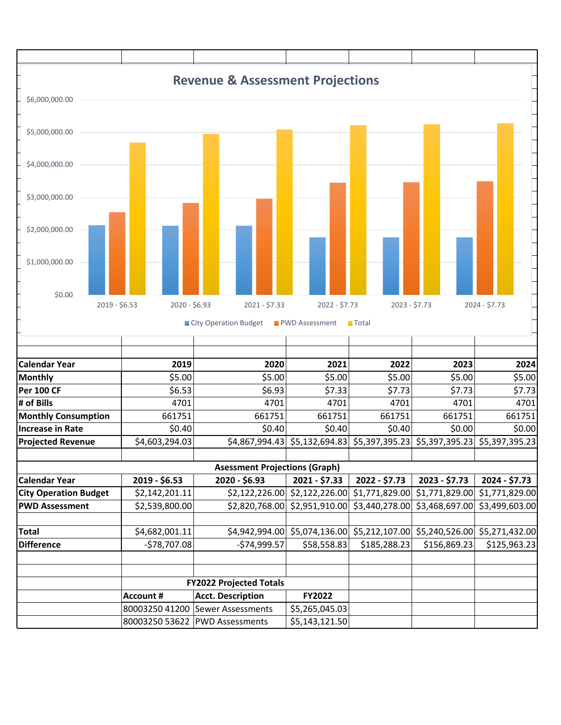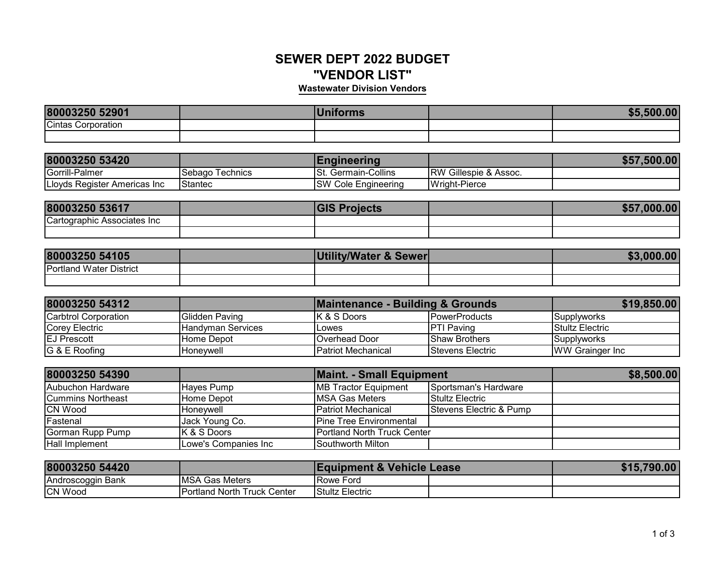## **SEWER DEPT 2022 BUDGET"VENDOR LIST"**

## **Wastewater Division Vendors**

| 80003250 52901            | .<br><b>Forms</b> | \$5.500.00 |
|---------------------------|-------------------|------------|
| <b>Cintas Corporation</b> |                   |            |
|                           |                   |            |

| 80003250 53420               |                  | Engineering                |                                  | \$57,500.00 |
|------------------------------|------------------|----------------------------|----------------------------------|-------------|
| Gorrill-Palmer               | .Sebago Technics | Germain-Collins<br>ISt.    | <b>RW Gillespie &amp; Assoc.</b> |             |
| Lloyds Register Americas Inc | <b>Stantec</b>   | <b>SW Cole Engineering</b> | Wright-Pierce                    |             |

| 80003250 53617              | ОН<br>ecis | 0000<br>\$57<br>"UU" |
|-----------------------------|------------|----------------------|
| Cartographic Associates Inc |            |                      |
|                             |            |                      |

| 80003250 54105                 | Utility/Water & Sewer | \$3,000.00 |
|--------------------------------|-----------------------|------------|
| <b>Portland Water District</b> |                       |            |
|                                |                       |            |

| 80003250 54312       |                            | Maintenance - Building & Grounds | \$19,850.00             |                         |
|----------------------|----------------------------|----------------------------------|-------------------------|-------------------------|
| Carbtrol Corporation | Glidden Paving             | IK & S Doors                     | <b>IPowerProducts</b>   | <b>Supplyworks</b>      |
| Corey Electric       | <b>I</b> Handvman Services | <b>IL</b> owes                   | <b>IPTI Paving</b>      | <b>Stultz Electric</b>  |
| <b>EJ Prescott</b>   | IHome Depot                | <b>IOverhead Door</b>            | <b>IShaw Brothers</b>   | <b>Supplyworks</b>      |
| G & E Roofing        | IHonevwell                 | <b>IPatriot Mechanical</b>       | <b>Stevens Electric</b> | <b>IWW Grainger Inc</b> |

| 80003250 54390    |                        | <b>Maint. - Small Equipment</b>     |                         | \$8,500.00 |
|-------------------|------------------------|-------------------------------------|-------------------------|------------|
| Aubuchon Hardware | Haves Pump             | <b>MB Tractor Equipment</b>         | Sportsman's Hardware    |            |
| Cummins Northeast | Home Depot             | <b>IMSA Gas Meters</b>              | <b>Stultz Electric</b>  |            |
| <b>CN Wood</b>    | <b>Honevwell</b>       | <b>Patriot Mechanical</b>           | Stevens Electric & Pump |            |
| Fastenal          | Jack Young Co.         | <b>Pine Tree Environmental</b>      |                         |            |
| Gorman Rupp Pump  | <b>K &amp; S Doors</b> | <b>IPortland North Truck Center</b> |                         |            |
| Hall Implement    | Lowe's Companies Inc   | Southworth Milton                   |                         |            |

| 80003250 54420    |                              | <b>Equipment &amp; Vehicle Lease</b> |  | \$15,790.00 |
|-------------------|------------------------------|--------------------------------------|--|-------------|
| Androscoggin Bank | <b>MSA Gas Meters</b>        | <b>Rowe Ford</b>                     |  |             |
| <b>CN Wood</b>    | IPortland North Truck Center | Stultz Electric                      |  |             |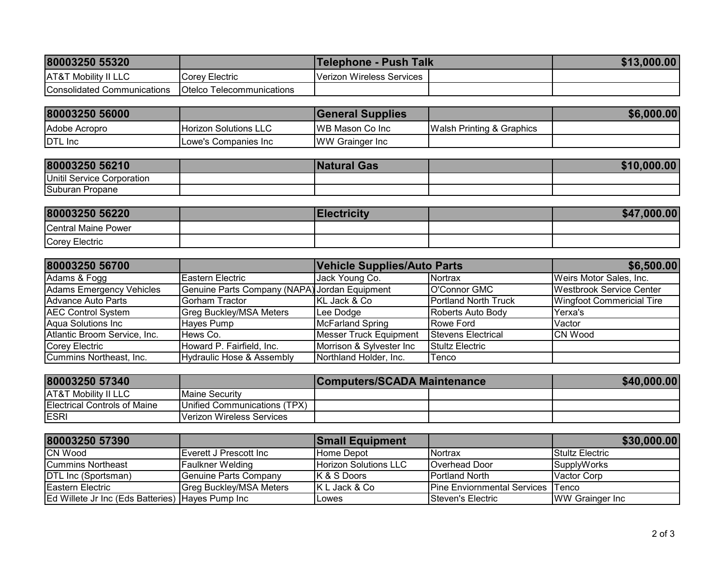| 80003250 55320                  |                                   | <b>Telephone - Push Talk</b> | \$13,000.00 |
|---------------------------------|-----------------------------------|------------------------------|-------------|
| <b>AT&amp;T Mobility II LLC</b> | Corey Electric                    | Verizon Wireless Services    |             |
| Consolidated Communications     | <b>IOtelco Telecommunications</b> |                              |             |

| 80003250 56000 |                              | <b>General Supplies</b>  |                                       | \$6,000.00 |
|----------------|------------------------------|--------------------------|---------------------------------------|------------|
| Adobe Acropro  | <b>Horizon Solutions LLC</b> | <b>IWB Mason Co Inc.</b> | <b>IWalsh Printing &amp; Graphics</b> |            |
| <b>DTL</b> Inc | Lowe's Companies Inc         | <b>WW Grainger Inc.</b>  |                                       |            |

| 80003250 56210             | <b>Natural Gas</b> | \$10,000.00 |
|----------------------------|--------------------|-------------|
| Unitil Service Corporation |                    |             |
| Suburan Propane            |                    |             |

| 80003250 56220      | <b>Iectricity</b> | \$47,000.00 |
|---------------------|-------------------|-------------|
| Central Maine Power |                   |             |
| Corey Electric      |                   |             |

| 80003250 56700               |                                               | <b>Vehicle Supplies/Auto Parts</b> |                             | \$6,500.00                       |
|------------------------------|-----------------------------------------------|------------------------------------|-----------------------------|----------------------------------|
| Adams & Fogg                 | Eastern Electric                              | Jack Young Co.                     | <b>Nortrax</b>              | Weirs Motor Sales, Inc.          |
| Adams Emergency Vehicles     | Genuine Parts Company (NAPA) Jordan Equipment |                                    | O'Connor GMC                | <b>Westbrook Service Center</b>  |
| Advance Auto Parts           | Gorham Tractor                                | KL Jack & Co                       | <b>Portland North Truck</b> | <b>Wingfoot Commericial Tire</b> |
| <b>AEC Control System</b>    | <b>Greg Buckley/MSA Meters</b>                | Lee Dodge                          | Roberts Auto Body           | Yerxa's                          |
| Aqua Solutions Inc           | Hayes Pump                                    | <b>McFarland Spring</b>            | <b>Rowe Ford</b>            | Vactor                           |
| Atlantic Broom Service, Inc. | Hews Co.                                      | <b>Messer Truck Equipment</b>      | Stevens Electrical          | <b>CN Wood</b>                   |
| Corey Electric               | Howard P. Fairfield, Inc.                     | Morrison & Sylvester Inc           | <b>Stultz Electric</b>      |                                  |
| Cummins Northeast, Inc.      | Hydraulic Hose & Assembly                     | Northland Holder, Inc.             | <b>Tenco</b>                |                                  |

| 80003250 57340                      |                                  | <b>Computers/SCADA Maintenance</b> |  | \$40,000.00 |
|-------------------------------------|----------------------------------|------------------------------------|--|-------------|
| <b>AT&amp;T Mobility II LLC</b>     | <b>IMaine Security</b>           |                                    |  |             |
| <b>Electrical Controls of Maine</b> | Unified Communications (TPX)     |                                    |  |             |
| <b>ESRI</b>                         | <b>Verizon Wireless Services</b> |                                    |  |             |

| 80003250 57390                                   |                                | <b>Small Equipment</b>       |                                    | \$30,000.00             |
|--------------------------------------------------|--------------------------------|------------------------------|------------------------------------|-------------------------|
| <b>CN Wood</b>                                   | IEverett J Prescott Inc        | Home Depot                   | <b>Nortrax</b>                     | <b>IStultz Electric</b> |
| <b>ICummins Northeast</b>                        | <b>Faulkner Welding</b>        | <b>Horizon Solutions LLC</b> | Overhead Door                      | SupplyWorks             |
| DTL Inc (Sportsman)                              | Genuine Parts Company          | IK & S Doors                 | <b>I</b> Portland North            | Vactor Corp             |
| <b>IEastern Electric</b>                         | <b>Greg Buckley/MSA Meters</b> | IK L Jack & Co               | <b>Pine Enviornmental Services</b> | Tenco                   |
| Ed Willete Jr Inc (Eds Batteries) Hayes Pump Inc |                                | Lowes                        | <b>Steven's Electric</b>           | <b>WW Grainger Inc.</b> |